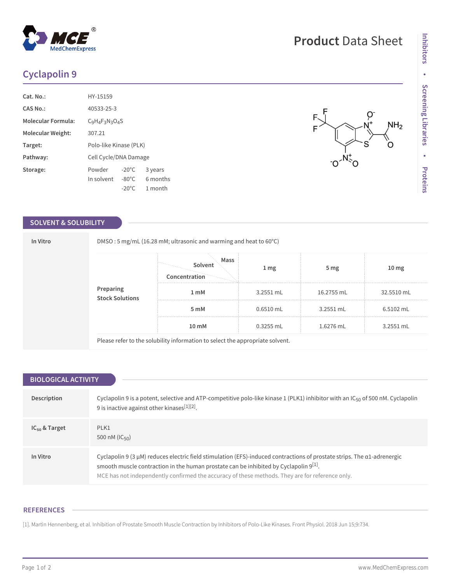# **Cyclapolin 9**

**MedChemExpress** 

| Cat. No.:          | HY-15159               |                 |          |
|--------------------|------------------------|-----------------|----------|
| CAS No.:           | 40533-25-3             |                 |          |
| Molecular Formula: | $C_9H_4F_3N_3O_4S$     |                 |          |
| Molecular Weight:  | 307.21                 |                 |          |
| Target:            | Polo-like Kinase (PLK) |                 |          |
| Pathway:           | Cell Cycle/DNA Damage  |                 |          |
| Storage:           | Powder                 | $-20^{\circ}$ C | 3 years  |
|                    | In solvent             | $-80^{\circ}$ C | 6 months |
|                    |                        | $-20^{\circ}$ C | 1 month  |

### **SOLVENT & SOLUBILITY**

**In Vitro** DMSO : 5 mg/mL (16.28 mM; ultrasonic and warming and heat to 60°C)

| Preparing<br>Stock Solutions | Mass<br>Solvent<br>Concentration | 1 <sub>mg</sub> | 5 <sub>mg</sub> | 10 <sub>mg</sub> |
|------------------------------|----------------------------------|-----------------|-----------------|------------------|
|                              | 1 mM                             | 3.2551 mL       | 16.2755 mL      | 32.5510 mL       |
|                              | 5 mM                             | $0.6510$ mL     | 3.2551 mL       | 6.5102 mL        |
|                              | 10 mM                            | $0.3255$ mL     | 1.6276 mL       | 3.2551 mL        |

Please refer to the solubility information to select the appropriate solvent.

| <b>BIOLOGICAL ACTIVITY</b> |                                                                                                                                                                                                                                                                                                                                 |  |  |  |
|----------------------------|---------------------------------------------------------------------------------------------------------------------------------------------------------------------------------------------------------------------------------------------------------------------------------------------------------------------------------|--|--|--|
|                            |                                                                                                                                                                                                                                                                                                                                 |  |  |  |
| Description                | Cyclapolin 9 is a potent, selective and ATP-competitive polo-like kinase 1 (PLK1) inhibitor with an $IC_{50}$ of 500 nM. Cyclapolin<br>9 is inactive against other kinases <sup>[1][2]</sup> .                                                                                                                                  |  |  |  |
| $IC_{50}$ & Target         | PLK1<br>500 nM ( $ C_{50}\rangle$                                                                                                                                                                                                                                                                                               |  |  |  |
| In Vitro                   | Cyclapolin 9 (3 $\mu$ M) reduces electric field stimulation (EFS)-induced contractions of prostate strips. The $\alpha$ 1-adrenergic<br>smooth muscle contraction in the human prostate can be inhibited by Cyclapolin 9[1].<br>MCE has not independently confirmed the accuracy of these methods. They are for reference only. |  |  |  |

#### **REFERENCES**

[1]. Martin Hennenberg, et al. Inhibition of Prostate Smooth Muscle Contraction by Inhibitors of Polo-Like Kinases. Front Physiol. 2018 Jun 15;9:734.

# **Product** Data Sheet

 $NH<sub>2</sub>$ 

O.